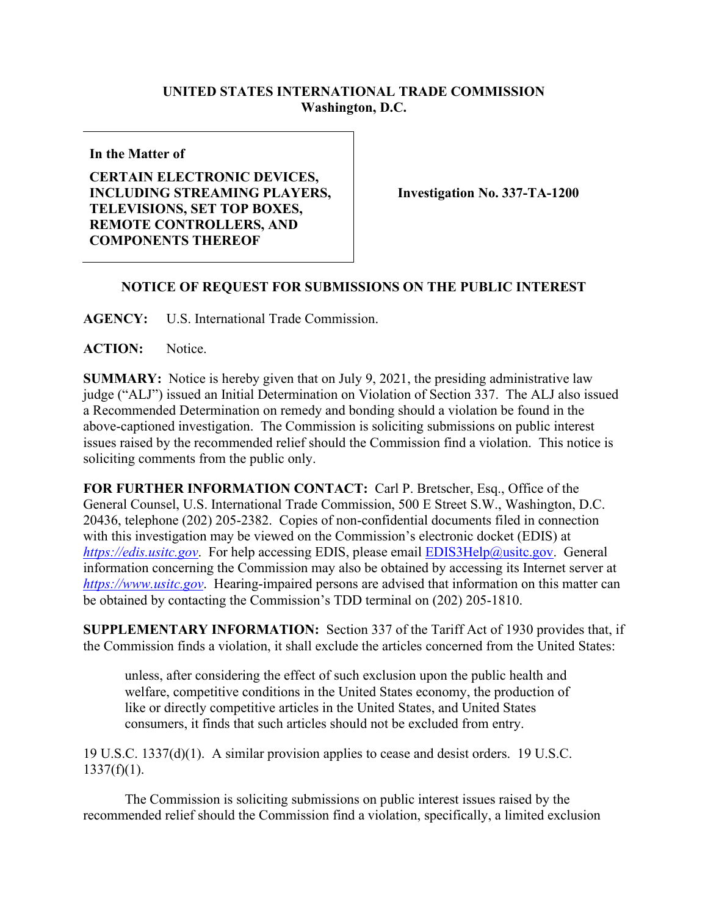## **UNITED STATES INTERNATIONAL TRADE COMMISSION Washington, D.C.**

**In the Matter of**

**CERTAIN ELECTRONIC DEVICES, INCLUDING STREAMING PLAYERS, TELEVISIONS, SET TOP BOXES, REMOTE CONTROLLERS, AND COMPONENTS THEREOF**

**Investigation No. 337-TA-1200**

## **NOTICE OF REQUEST FOR SUBMISSIONS ON THE PUBLIC INTEREST**

**AGENCY:** U.S. International Trade Commission.

**ACTION:** Notice.

**SUMMARY:** Notice is hereby given that on July 9, 2021, the presiding administrative law judge ("ALJ") issued an Initial Determination on Violation of Section 337. The ALJ also issued a Recommended Determination on remedy and bonding should a violation be found in the above-captioned investigation. The Commission is soliciting submissions on public interest issues raised by the recommended relief should the Commission find a violation. This notice is soliciting comments from the public only.

**FOR FURTHER INFORMATION CONTACT:** Carl P. Bretscher, Esq., Office of the General Counsel, U.S. International Trade Commission, 500 E Street S.W., Washington, D.C. 20436, telephone (202) 205-2382. Copies of non-confidential documents filed in connection with this investigation may be viewed on the Commission's electronic docket (EDIS) at *[https://edis.usitc.gov](https://edis.usitc.gov/).* For help accessing EDIS, please email [EDIS3Help@usitc.gov.](mailto:EDIS3Help@usitc.gov) General information concerning the Commission may also be obtained by accessing its Internet server at *[https://www.usitc.gov](https://www.usitc.gov/)*. Hearing-impaired persons are advised that information on this matter can be obtained by contacting the Commission's TDD terminal on (202) 205-1810.

**SUPPLEMENTARY INFORMATION:** Section 337 of the Tariff Act of 1930 provides that, if the Commission finds a violation, it shall exclude the articles concerned from the United States:

unless, after considering the effect of such exclusion upon the public health and welfare, competitive conditions in the United States economy, the production of like or directly competitive articles in the United States, and United States consumers, it finds that such articles should not be excluded from entry.

19 U.S.C. 1337(d)(1). A similar provision applies to cease and desist orders. 19 U.S.C.  $1337(f)(1)$ .

The Commission is soliciting submissions on public interest issues raised by the recommended relief should the Commission find a violation, specifically, a limited exclusion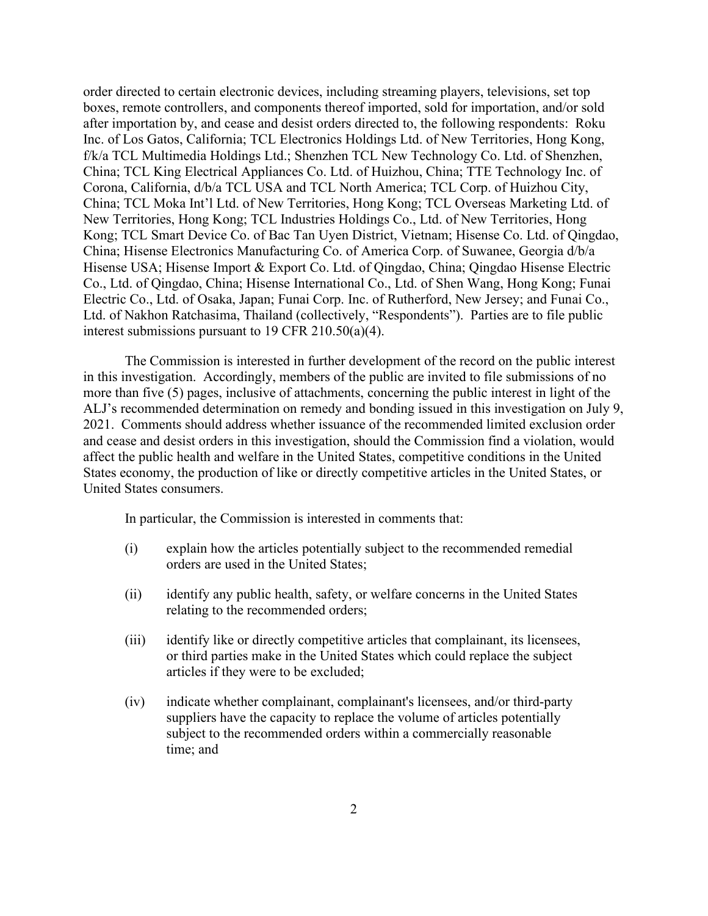order directed to certain electronic devices, including streaming players, televisions, set top boxes, remote controllers, and components thereof imported, sold for importation, and/or sold after importation by, and cease and desist orders directed to, the following respondents: Roku Inc. of Los Gatos, California; TCL Electronics Holdings Ltd. of New Territories, Hong Kong, f/k/a TCL Multimedia Holdings Ltd.; Shenzhen TCL New Technology Co. Ltd. of Shenzhen, China; TCL King Electrical Appliances Co. Ltd. of Huizhou, China; TTE Technology Inc. of Corona, California, d/b/a TCL USA and TCL North America; TCL Corp. of Huizhou City, China; TCL Moka Int'l Ltd. of New Territories, Hong Kong; TCL Overseas Marketing Ltd. of New Territories, Hong Kong; TCL Industries Holdings Co., Ltd. of New Territories, Hong Kong; TCL Smart Device Co. of Bac Tan Uyen District, Vietnam; Hisense Co. Ltd. of Qingdao, China; Hisense Electronics Manufacturing Co. of America Corp. of Suwanee, Georgia d/b/a Hisense USA; Hisense Import & Export Co. Ltd. of Qingdao, China; Qingdao Hisense Electric Co., Ltd. of Qingdao, China; Hisense International Co., Ltd. of Shen Wang, Hong Kong; Funai Electric Co., Ltd. of Osaka, Japan; Funai Corp. Inc. of Rutherford, New Jersey; and Funai Co., Ltd. of Nakhon Ratchasima, Thailand (collectively, "Respondents"). Parties are to file public interest submissions pursuant to 19 CFR 210.50(a)(4).

The Commission is interested in further development of the record on the public interest in this investigation. Accordingly, members of the public are invited to file submissions of no more than five (5) pages, inclusive of attachments, concerning the public interest in light of the ALJ's recommended determination on remedy and bonding issued in this investigation on July 9, 2021. Comments should address whether issuance of the recommended limited exclusion order and cease and desist orders in this investigation, should the Commission find a violation, would affect the public health and welfare in the United States, competitive conditions in the United States economy, the production of like or directly competitive articles in the United States, or United States consumers.

In particular, the Commission is interested in comments that:

- (i) explain how the articles potentially subject to the recommended remedial orders are used in the United States;
- (ii) identify any public health, safety, or welfare concerns in the United States relating to the recommended orders;
- (iii) identify like or directly competitive articles that complainant, its licensees, or third parties make in the United States which could replace the subject articles if they were to be excluded;
- (iv) indicate whether complainant, complainant's licensees, and/or third-party suppliers have the capacity to replace the volume of articles potentially subject to the recommended orders within a commercially reasonable time; and